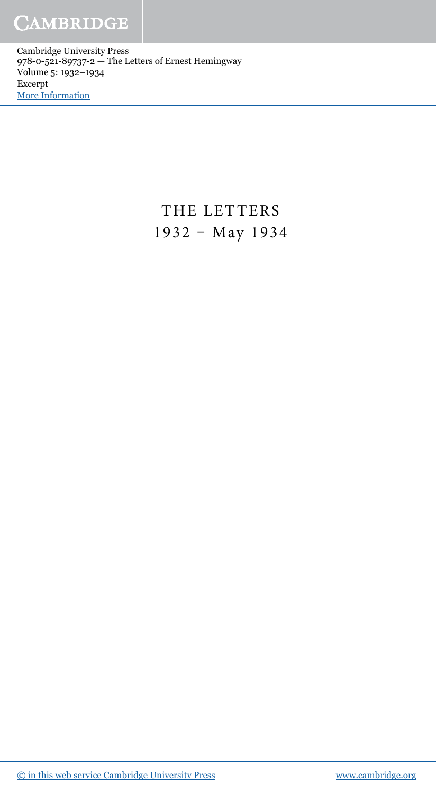Cambridge University Press 978-0-521-89737-2 — The Letters of Ernest Hemingway Volume 5: 1932–1934 Excerpt [More Information](www.cambridge.org/9780521897372)

# THE LETTERS 1932 – May 1934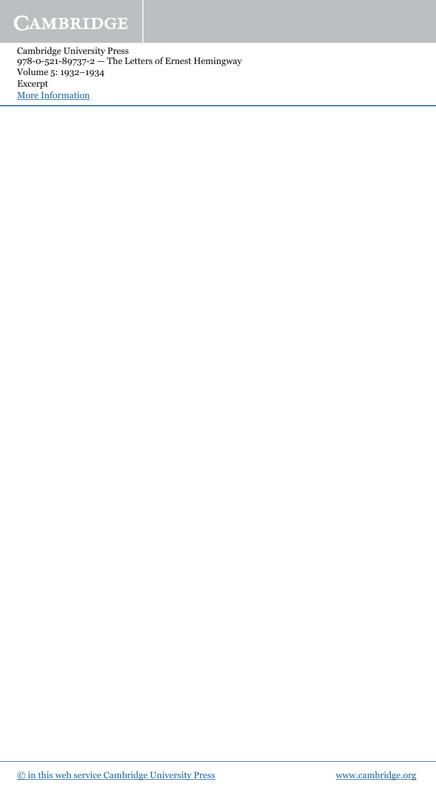Cambridge University Press 978-0-521-89737-2 — The Letters of Ernest Hemingway Volume 5: 1932–1934 Excerpt [More Information](www.cambridge.org/9780521897372)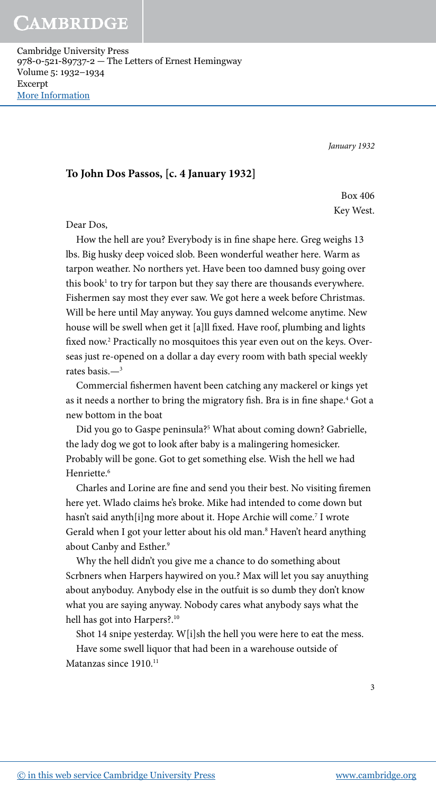Cambridge University Press 978-0-521-89737-2 — The Letters of Ernest Hemingway Volume 5: 1932–1934 Excerpt [More Information](www.cambridge.org/9780521897372)

January 1932

### **To John Dos Passos, [c. 4 January 1932]**

Box 406 Key West.

Dear Dos,

How the hell are you? Everybody is in fine shape here. Greg weighs 13 lbs. Big husky deep voiced slob. Been wonderful weather here. Warm as tarpon weather. No northers yet. Have been too damned busy going over this book<sup>1</sup> to try for tarpon but they say there are thousands everywhere. Fishermen say most they ever saw. We got here a week before Christmas. Will be here until May anyway. You guys damned welcome anytime. New house will be swell when get it [a]ll fixed. Have roof, plumbing and lights fixed now.<sup>2</sup> Practically no mosquitoes this year even out on the keys. Overseas just re-opened on a dollar a day every room with bath special weekly rates basis. $-3$ 

Commercial fishermen havent been catching any mackerel or kings yet as it needs a norther to bring the migratory fish. Bra is in fine shape.<sup>4</sup> Got a new bottom in the boat

Did you go to Gaspe peninsula?<sup>5</sup> What about coming down? Gabrielle, the lady dog we got to look after baby is a malingering homesicker. Probably will be gone. Got to get something else. Wish the hell we had Henriette.<sup>6</sup>

Charles and Lorine are fine and send you their best. No visiting firemen here yet. Wlado claims he's broke. Mike had intended to come down but hasn't said anyth[i]ng more about it. Hope Archie will come.<sup>7</sup> I wrote Gerald when I got your letter about his old man.<sup>8</sup> Haven't heard anything about Canby and Esther.<sup>9</sup>

Why the hell didn't you give me a chance to do something about Scrbners when Harpers haywired on you.? Max will let you say anuything about anyboduy. Anybody else in the outfuit is so dumb they don't know what you are saying anyway. Nobody cares what anybody says what the hell has got into Harpers?.<sup>10</sup>

Shot 14 snipe yesterday. W[i]sh the hell you were here to eat the mess.

Have some swell liquor that had been in a warehouse outside of Matanzas since 1910.<sup>11</sup>

3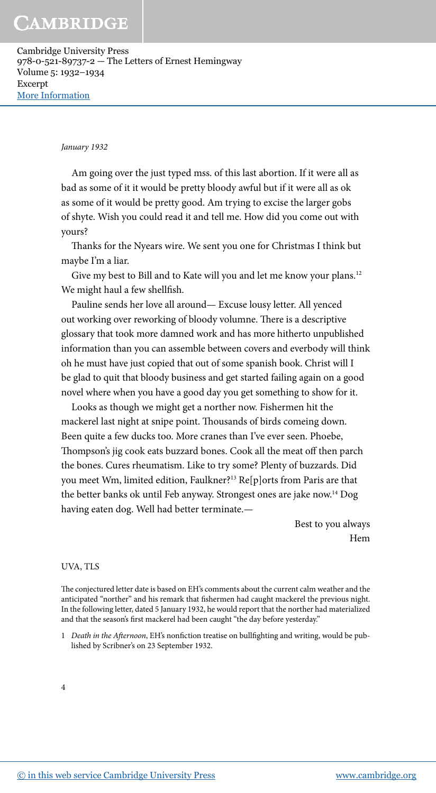Cambridge University Press 978-0-521-89737-2 — The Letters of Ernest Hemingway Volume 5: 1932–1934 Excerpt [More Information](www.cambridge.org/9780521897372)

### January 1932

Am going over the just typed mss. of this last abortion. If it were all as bad as some of it it would be pretty bloody awful but if it were all as ok as some of it would be pretty good. Am trying to excise the larger gobs of shyte. Wish you could read it and tell me. How did you come out with yours?

hanks for the Nyears wire. We sent you one for Christmas I think but maybe I'm a liar.

Give my best to Bill and to Kate will you and let me know your plans.<sup>12</sup> We might haul a few shellfish.

Pauline sends her love all around— Excuse lousy letter. All yenced out working over reworking of bloody volumne. There is a descriptive glossary that took more damned work and has more hitherto unpublished information than you can assemble between covers and everbody will think oh he must have just copied that out of some spanish book. Christ will I be glad to quit that bloody business and get started failing again on a good novel where when you have a good day you get something to show for it.

Looks as though we might get a norther now. Fishermen hit the mackerel last night at snipe point. Thousands of birds comeing down. Been quite a few ducks too. More cranes than I've ever seen. Phoebe, Thompson's jig cook eats buzzard bones. Cook all the meat off then parch the bones. Cures rheumatism. Like to try some? Plenty of buzzards. Did you meet Wm, limited edition, Faulkner?<sup>13</sup> Re[p]orts from Paris are that the better banks ok until Feb anyway. Strongest ones are jake now.<sup>14</sup> Dog having eaten dog. Well had better terminate.—

> Best to you always Hem

### UVA, TLS

he conjectured letter date is based on EH's comments about the current calm weather and the anticipated "norther" and his remark that ishermen had caught mackerel the previous night. In the following letter, dated 5 January 1932, he would report that the norther had materialized and that the season's first mackerel had been caught "the day before yesterday."

1 Death in the Afternoon, EH's nonfiction treatise on bullfighting and writing, would be published by Scribner's on 23 September 1932.

[© in this web service Cambridge University Press](www.cambridge.org) www.cambridge.org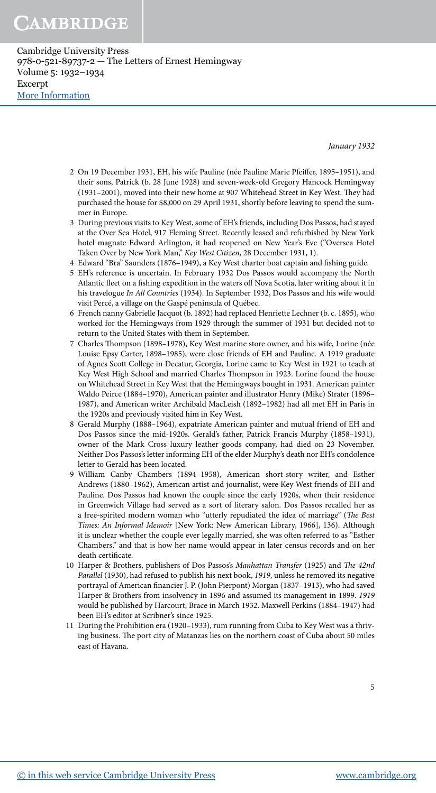Cambridge University Press 978-0-521-89737-2 — The Letters of Ernest Hemingway Volume 5: 1932–1934 Excerpt [More Information](www.cambridge.org/9780521897372)

January 1932

- 2 On 19 December 1931, EH, his wife Pauline (née Pauline Marie Pfeifer, 1895–1951), and their sons, Patrick (b. 28 June 1928) and seven-week-old Gregory Hancock Hemingway (1931–2001), moved into their new home at 907 Whitehead Street in Key West. hey had purchased the house for \$8,000 on 29 April 1931, shortly before leaving to spend the summer in Europe.
- 3 During previous visits to Key West, some of EH's friends, including Dos Passos, had stayed at the Over Sea Hotel, 917 Fleming Street. Recently leased and refurbished by New York hotel magnate Edward Arlington, it had reopened on New Year's Eve ("Oversea Hotel Taken Over by New York Man," Key West Citizen, 28 December 1931, 1).
- 4 Edward "Bra" Saunders (1876–1949), a Key West charter boat captain and ishing guide.
- 5 EH's reference is uncertain. In February 1932 Dos Passos would accompany the North Atlantic fleet on a fishing expedition in the waters off Nova Scotia, later writing about it in his travelogue In All Countries (1934). In September 1932, Dos Passos and his wife would visit Percé, a village on the Gaspé peninsula of Québec.
- 6 French nanny Gabrielle Jacquot (b. 1892) had replaced Henriette Lechner (b. c. 1895), who worked for the Hemingways from 1929 through the summer of 1931 but decided not to return to the United States with them in September.
- 7 Charles Thompson (1898–1978), Key West marine store owner, and his wife, Lorine (née Louise Epsy Carter, 1898–1985), were close friends of EH and Pauline. A 1919 graduate of Agnes Scott College in Decatur, Georgia, Lorine came to Key West in 1921 to teach at Key West High School and married Charles Thompson in 1923. Lorine found the house on Whitehead Street in Key West that the Hemingways bought in 1931. American painter Waldo Peirce (1884–1970), American painter and illustrator Henry (Mike) Strater (1896– 1987), and American writer Archibald MacLeish (1892–1982) had all met EH in Paris in the 1920s and previously visited him in Key West.
- 8 Gerald Murphy (1888–1964), expatriate American painter and mutual friend of EH and Dos Passos since the mid-1920s. Gerald's father, Patrick Francis Murphy (1858–1931), owner of the Mark Cross luxury leather goods company, had died on 23 November. Neither Dos Passos's letter informing EH of the elder Murphy's death nor EH's condolence letter to Gerald has been located.
- 9 William Canby Chambers (1894–1958), American short-story writer, and Esther Andrews (1880–1962), American artist and journalist, were Key West friends of EH and Pauline. Dos Passos had known the couple since the early 1920s, when their residence in Greenwich Village had served as a sort of literary salon. Dos Passos recalled her as a free-spirited modern woman who "utterly repudiated the idea of marriage" (The Best Times: An Informal Memoir [New York: New American Library, 1966], 136). Although it is unclear whether the couple ever legally married, she was oten referred to as "Esther Chambers," and that is how her name would appear in later census records and on her death certificate.
- 10 Harper & Brothers, publishers of Dos Passos's Manhattan Transfer (1925) and The 42nd Parallel (1930), had refused to publish his next book, 1919, unless he removed its negative portrayal of American inancier J. P. (John Pierpont) Morgan (1837–1913), who had saved Harper & Brothers from insolvency in 1896 and assumed its management in 1899. 1919 would be published by Harcourt, Brace in March 1932. Maxwell Perkins (1884–1947) had been EH's editor at Scribner's since 1925.
- 11 During the Prohibition era (1920–1933), rum running from Cuba to Key West was a thriving business. he port city of Matanzas lies on the northern coast of Cuba about 50 miles east of Havana.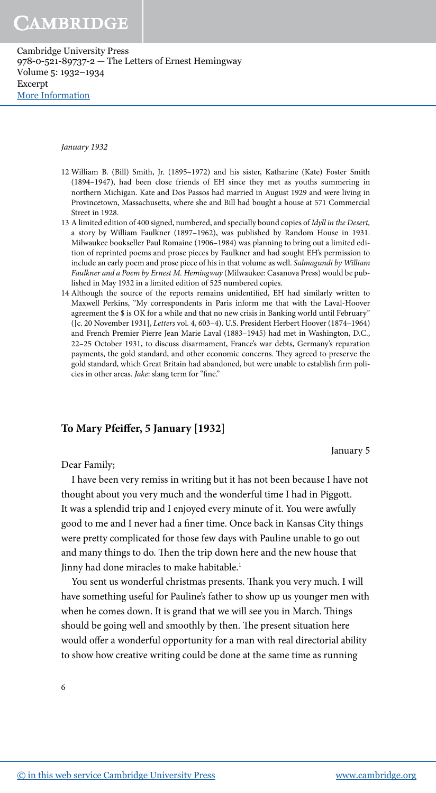Cambridge University Press 978-0-521-89737-2 — The Letters of Ernest Hemingway Volume 5: 1932–1934 Excerpt [More Information](www.cambridge.org/9780521897372)

#### January 1932

- 12 William B. (Bill) Smith, Jr. (1895–1972) and his sister, Katharine (Kate) Foster Smith (1894–1947), had been close friends of EH since they met as youths summering in northern Michigan. Kate and Dos Passos had married in August 1929 and were living in Provincetown, Massachusetts, where she and Bill had bought a house at 571 Commercial Street in 1928.
- 13 A limited edition of 400 signed, numbered, and specially bound copies of Idyll in the Desert, a story by William Faulkner (1897–1962), was published by Random House in 1931. Milwaukee bookseller Paul Romaine (1906–1984) was planning to bring out a limited edition of reprinted poems and prose pieces by Faulkner and had sought EH's permission to include an early poem and prose piece of his in that volume as well. Salmagundi by William Faulkner and a Poem by Ernest M. Hemingway (Milwaukee: Casanova Press) would be published in May 1932 in a limited edition of 525 numbered copies.
- 14 Although the source of the reports remains unidentified, EH had similarly written to Maxwell Perkins, "My correspondents in Paris inform me that with the Laval-Hoover agreement the \$ is OK for a while and that no new crisis in Banking world until February" ([c. 20 November 1931], Letters vol. 4, 603–4). U.S. President Herbert Hoover (1874–1964) and French Premier Pierre Jean Marie Laval (1883–1945) had met in Washington, D.C., 22–25 October 1931, to discuss disarmament, France's war debts, Germany's reparation payments, the gold standard, and other economic concerns. hey agreed to preserve the gold standard, which Great Britain had abandoned, but were unable to establish irm policies in other areas. Jake: slang term for "fine."

## **To Mary Pfeifer, 5 January [1932]**

January 5

Dear Family;

I have been very remiss in writing but it has not been because I have not thought about you very much and the wonderful time I had in Piggott. It was a splendid trip and I enjoyed every minute of it. You were awfully good to me and I never had a finer time. Once back in Kansas City things were pretty complicated for those few days with Pauline unable to go out and many things to do. Then the trip down here and the new house that Jinny had done miracles to make habitable.<sup>1</sup>

You sent us wonderful christmas presents. Thank you very much. I will have something useful for Pauline's father to show up us younger men with when he comes down. It is grand that we will see you in March. Things should be going well and smoothly by then. The present situation here would offer a wonderful opportunity for a man with real directorial ability to show how creative writing could be done at the same time as running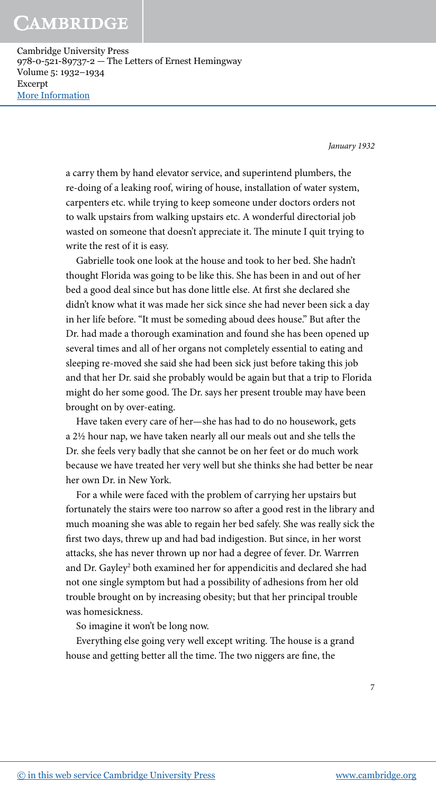Cambridge University Press 978-0-521-89737-2 — The Letters of Ernest Hemingway Volume 5: 1932–1934 Excerpt [More Information](www.cambridge.org/9780521897372)

January 1932

a carry them by hand elevator service, and superintend plumbers, the re-doing of a leaking roof, wiring of house, installation of water system, carpenters etc. while trying to keep someone under doctors orders not to walk upstairs from walking upstairs etc. A wonderful directorial job wasted on someone that doesn't appreciate it. The minute I quit trying to write the rest of it is easy.

Gabrielle took one look at the house and took to her bed. She hadn't thought Florida was going to be like this. She has been in and out of her bed a good deal since but has done little else. At first she declared she didn't know what it was made her sick since she had never been sick a day in her life before. "It must be someding aboud dees house." But ater the Dr. had made a thorough examination and found she has been opened up several times and all of her organs not completely essential to eating and sleeping re-moved she said she had been sick just before taking this job and that her Dr. said she probably would be again but that a trip to Florida might do her some good. The Dr. says her present trouble may have been brought on by over-eating.

Have taken every care of her—she has had to do no housework, gets a 2½ hour nap, we have taken nearly all our meals out and she tells the Dr. she feels very badly that she cannot be on her feet or do much work because we have treated her very well but she thinks she had better be near her own Dr. in New York.

For a while were faced with the problem of carrying her upstairs but fortunately the stairs were too narrow so after a good rest in the library and much moaning she was able to regain her bed safely. She was really sick the first two days, threw up and had bad indigestion. But since, in her worst attacks, she has never thrown up nor had a degree of fever. Dr. Warrren and Dr. Gayley<sup>2</sup> both examined her for appendicitis and declared she had not one single symptom but had a possibility of adhesions from her old trouble brought on by increasing obesity; but that her principal trouble was homesickness.

So imagine it won't be long now.

Everything else going very well except writing. The house is a grand house and getting better all the time. The two niggers are fine, the

7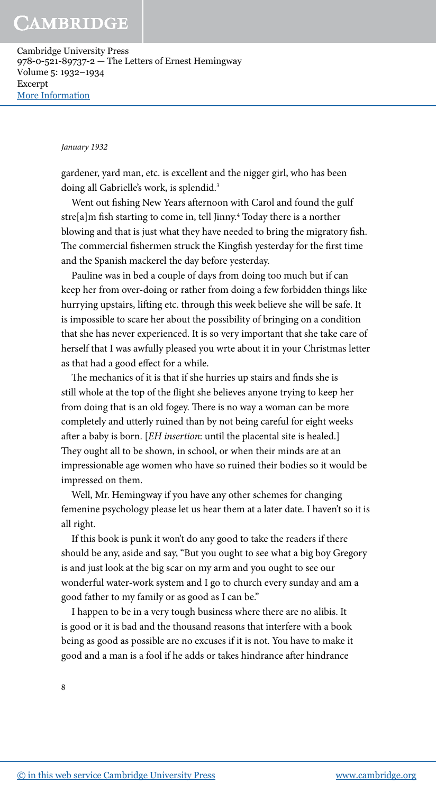Cambridge University Press 978-0-521-89737-2 — The Letters of Ernest Hemingway Volume 5: 1932–1934 Excerpt [More Information](www.cambridge.org/9780521897372)

### January 1932

gardener, yard man, etc. is excellent and the nigger girl, who has been doing all Gabrielle's work, is splendid.<sup>3</sup>

Went out fishing New Years afternoon with Carol and found the gulf stre[a]m fish starting to come in, tell Jinny.<sup>4</sup> Today there is a norther blowing and that is just what they have needed to bring the migratory fish. The commercial fishermen struck the Kingfish yesterday for the first time and the Spanish mackerel the day before yesterday.

Pauline was in bed a couple of days from doing too much but if can keep her from over-doing or rather from doing a few forbidden things like hurrying upstairs, liting etc. through this week believe she will be safe. It is impossible to scare her about the possibility of bringing on a condition that she has never experienced. It is so very important that she take care of herself that I was awfully pleased you wrte about it in your Christmas letter as that had a good efect for a while.

The mechanics of it is that if she hurries up stairs and finds she is still whole at the top of the flight she believes anyone trying to keep her from doing that is an old fogey. There is no way a woman can be more completely and utterly ruined than by not being careful for eight weeks after a baby is born. [EH insertion: until the placental site is healed.] They ought all to be shown, in school, or when their minds are at an impressionable age women who have so ruined their bodies so it would be impressed on them.

Well, Mr. Hemingway if you have any other schemes for changing femenine psychology please let us hear them at a later date. I haven't so it is all right.

If this book is punk it won't do any good to take the readers if there should be any, aside and say, "But you ought to see what a big boy Gregory is and just look at the big scar on my arm and you ought to see our wonderful water-work system and I go to church every sunday and am a good father to my family or as good as I can be."

I happen to be in a very tough business where there are no alibis. It is good or it is bad and the thousand reasons that interfere with a book being as good as possible are no excuses if it is not. You have to make it good and a man is a fool if he adds or takes hindrance ater hindrance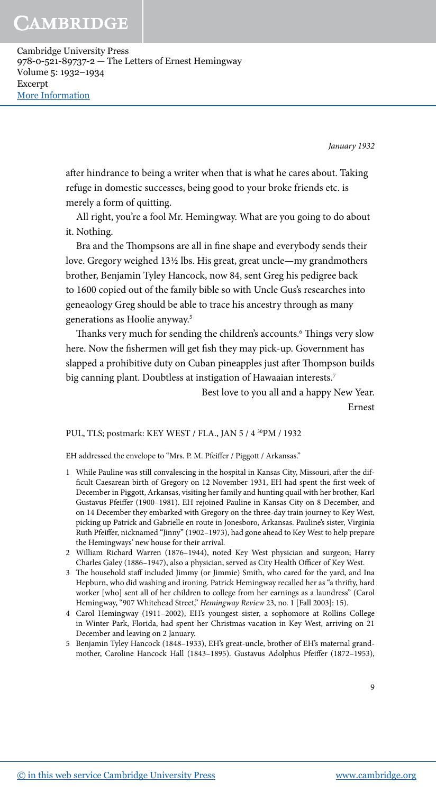Cambridge University Press 978-0-521-89737-2 — The Letters of Ernest Hemingway Volume 5: 1932–1934 Excerpt [More Information](www.cambridge.org/9780521897372)

January 1932

ater hindrance to being a writer when that is what he cares about. Taking refuge in domestic successes, being good to your broke friends etc. is merely a form of quitting.

All right, you're a fool Mr. Hemingway. What are you going to do about it. Nothing.

Bra and the Thompsons are all in fine shape and everybody sends their love. Gregory weighed 13½ lbs. His great, great uncle—my grandmothers brother, Benjamin Tyley Hancock, now 84, sent Greg his pedigree back to 1600 copied out of the family bible so with Uncle Gus's researches into geneaology Greg should be able to trace his ancestry through as many generations as Hoolie anyway.<sup>5</sup>

Thanks very much for sending the children's accounts.<sup>6</sup> Things very slow here. Now the fishermen will get fish they may pick-up. Government has slapped a prohibitive duty on Cuban pineapples just after Thompson builds big canning plant. Doubtless at instigation of Hawaaian interests.<sup>7</sup>

> Best love to you all and a happy New Year. Ernest

PUL, TLS; postmark: KEY WEST / FLA., JAN 5 / 4 <sup>30</sup>PM / 1932

EH addressed the envelope to "Mrs. P. M. Pfeifer / Piggott / Arkansas."

- 1 While Pauline was still convalescing in the hospital in Kansas City, Missouri, ater the difficult Caesarean birth of Gregory on 12 November 1931, EH had spent the first week of December in Piggott, Arkansas, visiting her family and hunting quail with her brother, Karl Gustavus Pfeifer (1900–1981). EH rejoined Pauline in Kansas City on 8 December, and on 14 December they embarked with Gregory on the three-day train journey to Key West, picking up Patrick and Gabrielle en route in Jonesboro, Arkansas. Pauline's sister, Virginia Ruth Pfeifer, nicknamed "Jinny" (1902–1973), had gone ahead to Key West to help prepare the Hemingways' new house for their arrival.
- 2 William Richard Warren (1876–1944), noted Key West physician and surgeon; Harry Charles Galey (1886-1947), also a physician, served as City Health Officer of Key West.
- 3 The household staff included Jimmy (or Jimmie) Smith, who cared for the yard, and Ina Hepburn, who did washing and ironing. Patrick Hemingway recalled her as "a thrity, hard worker [who] sent all of her children to college from her earnings as a laundress" (Carol Hemingway, "907 Whitehead Street," Hemingway Review 23, no. 1 [Fall 2003]: 15).
- 4 Carol Hemingway (1911–2002), EH's youngest sister, a sophomore at Rollins College in Winter Park, Florida, had spent her Christmas vacation in Key West, arriving on 21 December and leaving on 2 January.
- 5 Benjamin Tyley Hancock (1848–1933), EH's great-uncle, brother of EH's maternal grandmother, Caroline Hancock Hall (1843–1895). Gustavus Adolphus Pfeifer (1872–1953),